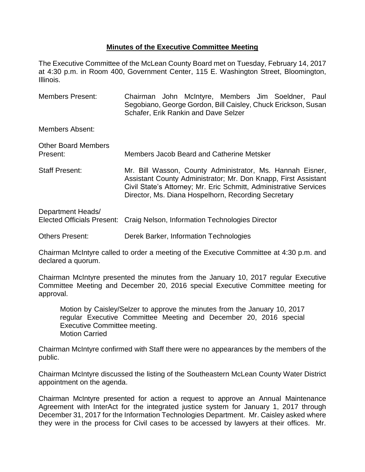## **Minutes of the Executive Committee Meeting**

The Executive Committee of the McLean County Board met on Tuesday, February 14, 2017 at 4:30 p.m. in Room 400, Government Center, 115 E. Washington Street, Bloomington, Illinois.

Members Present: Chairman John McIntyre, Members Jim Soeldner, Paul Segobiano, George Gordon, Bill Caisley, Chuck Erickson, Susan Schafer, Erik Rankin and Dave Selzer Members Absent: Other Board Members Present: Members Jacob Beard and Catherine Metsker Staff Present: Mr. Bill Wasson, County Administrator, Ms. Hannah Eisner, Assistant County Administrator; Mr. Don Knapp, First Assistant Civil State's Attorney; Mr. Eric Schmitt, Administrative Services Director, Ms. Diana Hospelhorn, Recording Secretary Department Heads/ Elected Officials Present: Craig Nelson, Information Technologies Director Others Present: Derek Barker, Information Technologies

Chairman McIntyre called to order a meeting of the Executive Committee at 4:30 p.m. and declared a quorum.

Chairman McIntyre presented the minutes from the January 10, 2017 regular Executive Committee Meeting and December 20, 2016 special Executive Committee meeting for approval.

Motion by Caisley/Selzer to approve the minutes from the January 10, 2017 regular Executive Committee Meeting and December 20, 2016 special Executive Committee meeting. Motion Carried

Chairman McIntyre confirmed with Staff there were no appearances by the members of the public.

Chairman McIntyre discussed the listing of the Southeastern McLean County Water District appointment on the agenda.

Chairman McIntyre presented for action a request to approve an Annual Maintenance Agreement with InterAct for the integrated justice system for January 1, 2017 through December 31, 2017 for the Information Technologies Department. Mr. Caisley asked where they were in the process for Civil cases to be accessed by lawyers at their offices. Mr.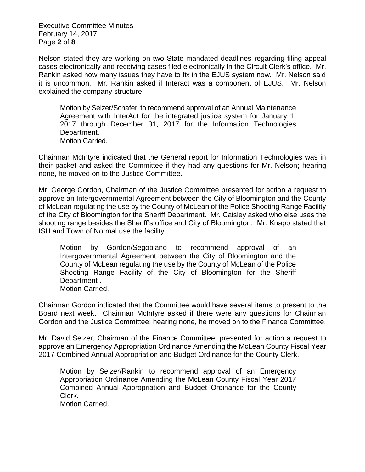Executive Committee Minutes February 14, 2017 Page **2** of **8**

Nelson stated they are working on two State mandated deadlines regarding filing appeal cases electronically and receiving cases filed electronically in the Circuit Clerk's office. Mr. Rankin asked how many issues they have to fix in the EJUS system now. Mr. Nelson said it is uncommon. Mr. Rankin asked if Interact was a component of EJUS. Mr. Nelson explained the company structure.

Motion by Selzer/Schafer to recommend approval of an Annual Maintenance Agreement with InterAct for the integrated justice system for January 1, 2017 through December 31, 2017 for the Information Technologies Department. Motion Carried.

Chairman McIntyre indicated that the General report for Information Technologies was in their packet and asked the Committee if they had any questions for Mr. Nelson; hearing none, he moved on to the Justice Committee.

Mr. George Gordon, Chairman of the Justice Committee presented for action a request to approve an Intergovernmental Agreement between the City of Bloomington and the County of McLean regulating the use by the County of McLean of the Police Shooting Range Facility of the City of Bloomington for the Sheriff Department. Mr. Caisley asked who else uses the shooting range besides the Sheriff's office and City of Bloomington. Mr. Knapp stated that ISU and Town of Normal use the facility.

Motion by Gordon/Segobiano to recommend approval of an Intergovernmental Agreement between the City of Bloomington and the County of McLean regulating the use by the County of McLean of the Police Shooting Range Facility of the City of Bloomington for the Sheriff Department . Motion Carried.

Chairman Gordon indicated that the Committee would have several items to present to the Board next week. Chairman McIntyre asked if there were any questions for Chairman Gordon and the Justice Committee; hearing none, he moved on to the Finance Committee.

Mr. David Selzer, Chairman of the Finance Committee, presented for action a request to approve an Emergency Appropriation Ordinance Amending the McLean County Fiscal Year 2017 Combined Annual Appropriation and Budget Ordinance for the County Clerk.

Motion by Selzer/Rankin to recommend approval of an Emergency Appropriation Ordinance Amending the McLean County Fiscal Year 2017 Combined Annual Appropriation and Budget Ordinance for the County Clerk.

Motion Carried.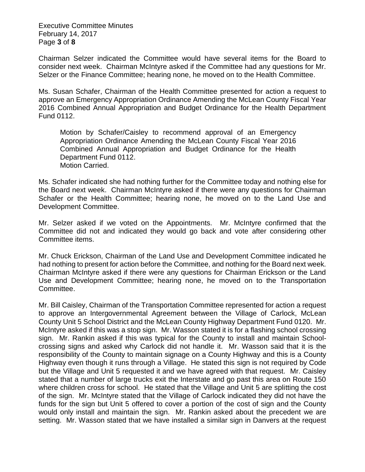Executive Committee Minutes February 14, 2017 Page **3** of **8**

Chairman Selzer indicated the Committee would have several items for the Board to consider next week. Chairman McIntyre asked if the Committee had any questions for Mr. Selzer or the Finance Committee; hearing none, he moved on to the Health Committee.

Ms. Susan Schafer, Chairman of the Health Committee presented for action a request to approve an Emergency Appropriation Ordinance Amending the McLean County Fiscal Year 2016 Combined Annual Appropriation and Budget Ordinance for the Health Department Fund 0112.

Motion by Schafer/Caisley to recommend approval of an Emergency Appropriation Ordinance Amending the McLean County Fiscal Year 2016 Combined Annual Appropriation and Budget Ordinance for the Health Department Fund 0112. Motion Carried.

Ms. Schafer indicated she had nothing further for the Committee today and nothing else for the Board next week. Chairman McIntyre asked if there were any questions for Chairman Schafer or the Health Committee; hearing none, he moved on to the Land Use and Development Committee.

Mr. Selzer asked if we voted on the Appointments. Mr. McIntyre confirmed that the Committee did not and indicated they would go back and vote after considering other Committee items.

Mr. Chuck Erickson, Chairman of the Land Use and Development Committee indicated he had nothing to present for action before the Committee, and nothing for the Board next week. Chairman McIntyre asked if there were any questions for Chairman Erickson or the Land Use and Development Committee; hearing none, he moved on to the Transportation Committee.

Mr. Bill Caisley, Chairman of the Transportation Committee represented for action a request to approve an Intergovernmental Agreement between the Village of Carlock, McLean County Unit 5 School District and the McLean County Highway Department Fund 0120. Mr. McIntyre asked if this was a stop sign. Mr. Wasson stated it is for a flashing school crossing sign. Mr. Rankin asked if this was typical for the County to install and maintain Schoolcrossing signs and asked why Carlock did not handle it. Mr. Wasson said that it is the responsibility of the County to maintain signage on a County Highway and this is a County Highway even though it runs through a Village. He stated this sign is not required by Code but the Village and Unit 5 requested it and we have agreed with that request. Mr. Caisley stated that a number of large trucks exit the Interstate and go past this area on Route 150 where children cross for school. He stated that the Village and Unit 5 are splitting the cost of the sign. Mr. McIntyre stated that the Village of Carlock indicated they did not have the funds for the sign but Unit 5 offered to cover a portion of the cost of sign and the County would only install and maintain the sign. Mr. Rankin asked about the precedent we are setting. Mr. Wasson stated that we have installed a similar sign in Danvers at the request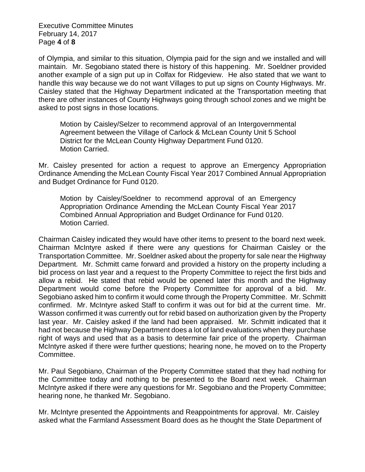Executive Committee Minutes February 14, 2017 Page **4** of **8**

of Olympia, and similar to this situation, Olympia paid for the sign and we installed and will maintain. Mr. Segobiano stated there is history of this happening. Mr. Soeldner provided another example of a sign put up in Colfax for Ridgeview. He also stated that we want to handle this way because we do not want Villages to put up signs on County Highways. Mr. Caisley stated that the Highway Department indicated at the Transportation meeting that there are other instances of County Highways going through school zones and we might be asked to post signs in those locations.

Motion by Caisley/Selzer to recommend approval of an Intergovernmental Agreement between the Village of Carlock & McLean County Unit 5 School District for the McLean County Highway Department Fund 0120. Motion Carried.

Mr. Caisley presented for action a request to approve an Emergency Appropriation Ordinance Amending the McLean County Fiscal Year 2017 Combined Annual Appropriation and Budget Ordinance for Fund 0120.

Motion by Caisley/Soeldner to recommend approval of an Emergency Appropriation Ordinance Amending the McLean County Fiscal Year 2017 Combined Annual Appropriation and Budget Ordinance for Fund 0120. Motion Carried.

Chairman Caisley indicated they would have other items to present to the board next week. Chairman McIntyre asked if there were any questions for Chairman Caisley or the Transportation Committee. Mr. Soeldner asked about the property for sale near the Highway Department. Mr. Schmitt came forward and provided a history on the property including a bid process on last year and a request to the Property Committee to reject the first bids and allow a rebid. He stated that rebid would be opened later this month and the Highway Department would come before the Property Committee for approval of a bid. Mr. Segobiano asked him to confirm it would come through the Property Committee. Mr. Schmitt confirmed. Mr. McIntyre asked Staff to confirm it was out for bid at the current time. Mr. Wasson confirmed it was currently out for rebid based on authorization given by the Property last year. Mr. Caisley asked if the land had been appraised. Mr. Schmitt indicated that it had not because the Highway Department does a lot of land evaluations when they purchase right of ways and used that as a basis to determine fair price of the property. Chairman McIntyre asked if there were further questions; hearing none, he moved on to the Property Committee.

Mr. Paul Segobiano, Chairman of the Property Committee stated that they had nothing for the Committee today and nothing to be presented to the Board next week. Chairman McIntyre asked if there were any questions for Mr. Segobiano and the Property Committee; hearing none, he thanked Mr. Segobiano.

Mr. McIntyre presented the Appointments and Reappointments for approval. Mr. Caisley asked what the Farmland Assessment Board does as he thought the State Department of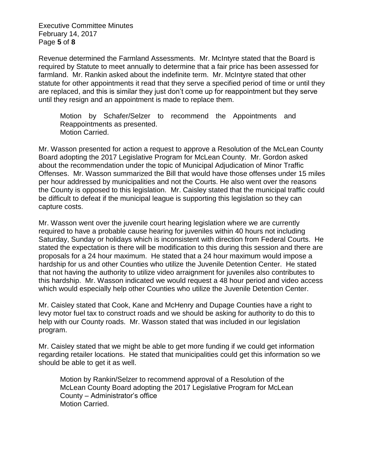Executive Committee Minutes February 14, 2017 Page **5** of **8**

Revenue determined the Farmland Assessments. Mr. McIntyre stated that the Board is required by Statute to meet annually to determine that a fair price has been assessed for farmland. Mr. Rankin asked about the indefinite term. Mr. McIntyre stated that other statute for other appointments it read that they serve a specified period of time or until they are replaced, and this is similar they just don't come up for reappointment but they serve until they resign and an appointment is made to replace them.

Motion by Schafer/Selzer to recommend the Appointments and Reappointments as presented. Motion Carried.

Mr. Wasson presented for action a request to approve a Resolution of the McLean County Board adopting the 2017 Legislative Program for McLean County. Mr. Gordon asked about the recommendation under the topic of Municipal Adjudication of Minor Traffic Offenses. Mr. Wasson summarized the Bill that would have those offenses under 15 miles per hour addressed by municipalities and not the Courts. He also went over the reasons the County is opposed to this legislation. Mr. Caisley stated that the municipal traffic could be difficult to defeat if the municipal league is supporting this legislation so they can capture costs.

Mr. Wasson went over the juvenile court hearing legislation where we are currently required to have a probable cause hearing for juveniles within 40 hours not including Saturday, Sunday or holidays which is inconsistent with direction from Federal Courts. He stated the expectation is there will be modification to this during this session and there are proposals for a 24 hour maximum. He stated that a 24 hour maximum would impose a hardship for us and other Counties who utilize the Juvenile Detention Center. He stated that not having the authority to utilize video arraignment for juveniles also contributes to this hardship. Mr. Wasson indicated we would request a 48 hour period and video access which would especially help other Counties who utilize the Juvenile Detention Center.

Mr. Caisley stated that Cook, Kane and McHenry and Dupage Counties have a right to levy motor fuel tax to construct roads and we should be asking for authority to do this to help with our County roads. Mr. Wasson stated that was included in our legislation program.

Mr. Caisley stated that we might be able to get more funding if we could get information regarding retailer locations. He stated that municipalities could get this information so we should be able to get it as well.

Motion by Rankin/Selzer to recommend approval of a Resolution of the McLean County Board adopting the 2017 Legislative Program for McLean County – Administrator's office Motion Carried.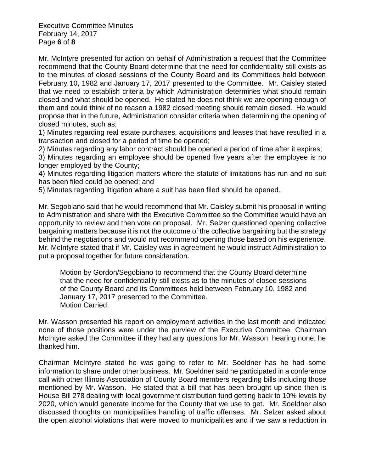Executive Committee Minutes February 14, 2017 Page **6** of **8**

Mr. McIntyre presented for action on behalf of Administration a request that the Committee recommend that the County Board determine that the need for confidentiality still exists as to the minutes of closed sessions of the County Board and its Committees held between February 10, 1982 and January 17, 2017 presented to the Committee. Mr. Caisley stated that we need to establish criteria by which Administration determines what should remain closed and what should be opened. He stated he does not think we are opening enough of them and could think of no reason a 1982 closed meeting should remain closed. He would propose that in the future, Administration consider criteria when determining the opening of closed minutes, such as;

1) Minutes regarding real estate purchases, acquisitions and leases that have resulted in a transaction and closed for a period of time be opened;

2) Minutes regarding any labor contract should be opened a period of time after it expires;

3) Minutes regarding an employee should be opened five years after the employee is no longer employed by the County;

4) Minutes regarding litigation matters where the statute of limitations has run and no suit has been filed could be opened; and

5) Minutes regarding litigation where a suit has been filed should be opened.

Mr. Segobiano said that he would recommend that Mr. Caisley submit his proposal in writing to Administration and share with the Executive Committee so the Committee would have an opportunity to review and then vote on proposal. Mr. Selzer questioned opening collective bargaining matters because it is not the outcome of the collective bargaining but the strategy behind the negotiations and would not recommend opening those based on his experience. Mr. McIntyre stated that if Mr. Caisley was in agreement he would instruct Administration to put a proposal together for future consideration.

Motion by Gordon/Segobiano to recommend that the County Board determine that the need for confidentiality still exists as to the minutes of closed sessions of the County Board and its Committees held between February 10, 1982 and January 17, 2017 presented to the Committee. Motion Carried.

Mr. Wasson presented his report on employment activities in the last month and indicated none of those positions were under the purview of the Executive Committee. Chairman McIntyre asked the Committee if they had any questions for Mr. Wasson; hearing none, he thanked him.

Chairman McIntyre stated he was going to refer to Mr. Soeldner has he had some information to share under other business. Mr. Soeldner said he participated in a conference call with other Illinois Association of County Board members regarding bills including those mentioned by Mr. Wasson. He stated that a bill that has been brought up since then is House Bill 278 dealing with local government distribution fund getting back to 10% levels by 2020, which would generate income for the County that we use to get. Mr. Soeldner also discussed thoughts on municipalities handling of traffic offenses. Mr. Selzer asked about the open alcohol violations that were moved to municipalities and if we saw a reduction in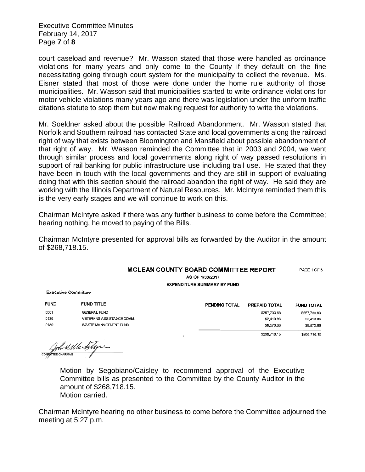Executive Committee Minutes February 14, 2017 Page **7** of **8**

court caseload and revenue? Mr. Wasson stated that those were handled as ordinance violations for many years and only come to the County if they default on the fine necessitating going through court system for the municipality to collect the revenue. Ms. Eisner stated that most of those were done under the home rule authority of those municipalities. Mr. Wasson said that municipalities started to write ordinance violations for motor vehicle violations many years ago and there was legislation under the uniform traffic citations statute to stop them but now making request for authority to write the violations.

Mr. Soeldner asked about the possible Railroad Abandonment. Mr. Wasson stated that Norfolk and Southern railroad has contacted State and local governments along the railroad right of way that exists between Bloomington and Mansfield about possible abandonment of that right of way. Mr. Wasson reminded the Committee that in 2003 and 2004, we went through similar process and local governments along right of way passed resolutions in support of rail banking for public infrastructure use including trail use. He stated that they have been in touch with the local governments and they are still in support of evaluating doing that with this section should the railroad abandon the right of way. He said they are working with the Illinois Department of Natural Resources. Mr. McIntyre reminded them this is the very early stages and we will continue to work on this.

Chairman McIntyre asked if there was any further business to come before the Committee; hearing nothing, he moved to paying of the Bills.

Chairman McIntyre presented for approval bills as forwarded by the Auditor in the amount of \$268,718.15.

## MCLEAN COUNTY BOARD COMMITTEE REPORT PAGE 1 OF 6 AS OF 1/30/2017

**FUND TOTAL** \$257,733.63 \$2,413.86 \$8,570.66 \$268,718.15

**EXPENDITURE SUMMARY BY FUND** 

**Executive Committee** 

| <b>FUND</b> | <b>FUND TITLE</b>         | <b>PENDING TOTAL</b> | <b>PREPAID TOTAL</b> |
|-------------|---------------------------|----------------------|----------------------|
| 0001        | <b>GENERAL FUND</b>       |                      | \$257,733.63         |
| 0136        | VETERANS ASSISTANCE COMM. |                      | \$2,413.86           |
| 0159        | WASTE MANAGEMENT FUND     |                      | \$8,570.66           |
|             |                           |                      | \$268,718.15         |

John Mile Sitype

Motion by Segobiano/Caisley to recommend approval of the Executive Committee bills as presented to the Committee by the County Auditor in the amount of \$268,718.15. Motion carried.

Chairman McIntyre hearing no other business to come before the Committee adjourned the meeting at 5:27 p.m.